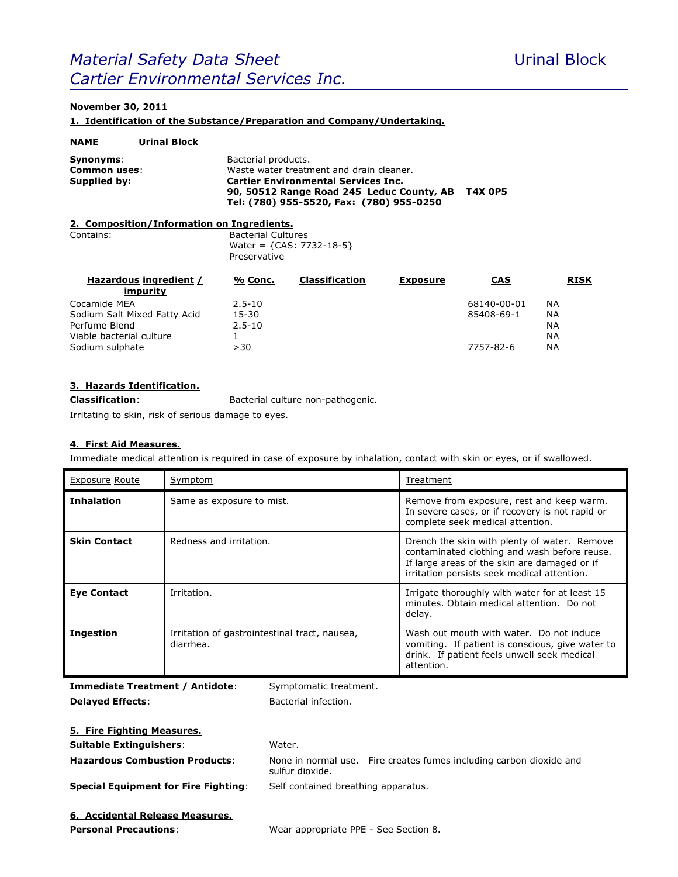# **Material Safety Data Sheet** Material Block *Cartier Environmental Services Inc.*

## **November 30, 2011**

**1. Identification of the Substance/Preparation and Company/Undertaking.**

| <b>NAME</b>                               | <b>Urinal Block</b>                        |                                                                                                                                                                                                                          |                       |                 |     |             |
|-------------------------------------------|--------------------------------------------|--------------------------------------------------------------------------------------------------------------------------------------------------------------------------------------------------------------------------|-----------------------|-----------------|-----|-------------|
| Synonyms:<br>Common uses:<br>Supplied by: |                                            | Bacterial products.<br>Waste water treatment and drain cleaner.<br><b>Cartier Environmental Services Inc.</b><br><b>T4X 0P5</b><br>90, 50512 Range Road 245 Leduc County, AB<br>Tel: (780) 955-5520, Fax: (780) 955-0250 |                       |                 |     |             |
|                                           | 2. Composition/Information on Ingredients. |                                                                                                                                                                                                                          |                       |                 |     |             |
| Contains:                                 |                                            | <b>Bacterial Cultures</b><br>Water = ${CAS: 7732-18-5}$<br>Preservative                                                                                                                                                  |                       |                 |     |             |
|                                           | Hazardous ingredient /                     | % Conc.                                                                                                                                                                                                                  | <b>Classification</b> | <b>Exposure</b> | CAS | <b>RISK</b> |

| impurity                     |            |             |           |
|------------------------------|------------|-------------|-----------|
| Cocamide MEA                 | $2.5 - 10$ | 68140-00-01 | ΝA        |
| Sodium Salt Mixed Fatty Acid | 15-30      | 85408-69-1  | <b>NA</b> |
| Perfume Blend                | $2.5 - 10$ |             | <b>NA</b> |
| Viable bacterial culture     |            |             | ΝA        |
| Sodium sulphate              | > 30       | 7757-82-6   | <b>NA</b> |

#### **3. Hazards Identification.**

**Classification**: Bacterial culture non-pathogenic.

Irritating to skin, risk of serious damage to eyes.

#### **4. First Aid Measures.**

Immediate medical attention is required in case of exposure by inhalation, contact with skin or eyes, or if swallowed.

| <b>Exposure Route</b> | Symptom                                                    | Treatment                                                                                                                                                                                   |
|-----------------------|------------------------------------------------------------|---------------------------------------------------------------------------------------------------------------------------------------------------------------------------------------------|
| <b>Inhalation</b>     | Same as exposure to mist.                                  | Remove from exposure, rest and keep warm.<br>In severe cases, or if recovery is not rapid or<br>complete seek medical attention.                                                            |
| <b>Skin Contact</b>   | Redness and irritation.                                    | Drench the skin with plenty of water. Remove<br>contaminated clothing and wash before reuse.<br>If large areas of the skin are damaged or if<br>irritation persists seek medical attention. |
| <b>Eye Contact</b>    | Irritation.                                                | Irrigate thoroughly with water for at least 15<br>minutes. Obtain medical attention. Do not<br>delay.                                                                                       |
| <b>Ingestion</b>      | Irritation of gastrointestinal tract, nausea,<br>diarrhea. | Wash out mouth with water. Do not induce<br>vomiting. If patient is conscious, give water to<br>drink. If patient feels unwell seek medical<br>attention.                                   |

**Immediate Treatment / Antidote**: Symptomatic treatment. **Delayed Effects:** Bacterial infection.

| <b>5. Fire Fighting Measures.</b>           |                                                                                        |
|---------------------------------------------|----------------------------------------------------------------------------------------|
| <b>Suitable Extinguishers:</b>              | Water.                                                                                 |
| <b>Hazardous Combustion Products:</b>       | None in normal use. Fire creates fumes including carbon dioxide and<br>sulfur dioxide. |
| <b>Special Equipment for Fire Fighting:</b> | Self contained breathing apparatus.                                                    |
| 6. Accidental Release Measures.             |                                                                                        |

**Personal Precautions**: Wear appropriate PPE - See Section 8.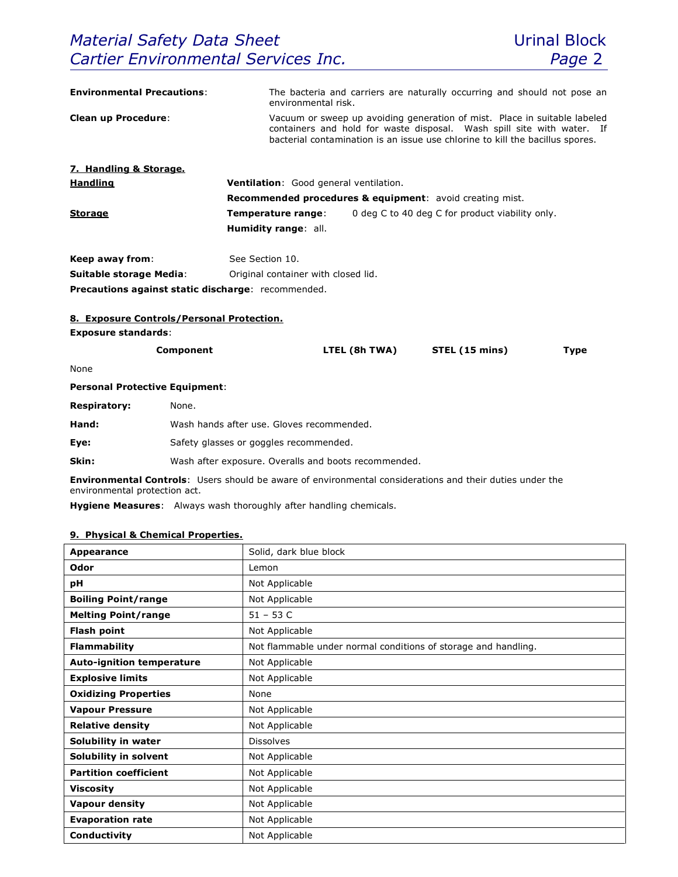| <b>Environmental Precautions:</b>     |                                                    | environmental risk.                                                   |                                     | The bacteria and carriers are naturally occurring and should not pose an                                                                                                                                                             |             |  |
|---------------------------------------|----------------------------------------------------|-----------------------------------------------------------------------|-------------------------------------|--------------------------------------------------------------------------------------------------------------------------------------------------------------------------------------------------------------------------------------|-------------|--|
| <b>Clean up Procedure:</b>            |                                                    |                                                                       |                                     | Vacuum or sweep up avoiding generation of mist. Place in suitable labeled<br>containers and hold for waste disposal. Wash spill site with water. If<br>bacterial contamination is an issue use chlorine to kill the bacillus spores. |             |  |
| 7. Handling & Storage.                |                                                    |                                                                       |                                     |                                                                                                                                                                                                                                      |             |  |
| <b>Handling</b>                       |                                                    | Ventilation: Good general ventilation.                                |                                     |                                                                                                                                                                                                                                      |             |  |
|                                       |                                                    |                                                                       |                                     | <b>Recommended procedures &amp; equipment:</b> avoid creating mist.                                                                                                                                                                  |             |  |
| <b>Storage</b>                        |                                                    | Temperature range:<br>0 deg C to 40 deg C for product viability only. |                                     |                                                                                                                                                                                                                                      |             |  |
|                                       |                                                    | Humidity range: all.                                                  |                                     |                                                                                                                                                                                                                                      |             |  |
| Keep away from:                       |                                                    | See Section 10.                                                       |                                     |                                                                                                                                                                                                                                      |             |  |
| <b>Suitable storage Media:</b>        |                                                    |                                                                       | Original container with closed lid. |                                                                                                                                                                                                                                      |             |  |
|                                       | Precautions against static discharge: recommended. |                                                                       |                                     |                                                                                                                                                                                                                                      |             |  |
|                                       | 8. Exposure Controls/Personal Protection.          |                                                                       |                                     |                                                                                                                                                                                                                                      |             |  |
| <b>Exposure standards:</b>            |                                                    |                                                                       |                                     |                                                                                                                                                                                                                                      |             |  |
|                                       | Component                                          |                                                                       | LTEL (8h TWA)                       | STEL (15 mins)                                                                                                                                                                                                                       | <b>Type</b> |  |
| None                                  |                                                    |                                                                       |                                     |                                                                                                                                                                                                                                      |             |  |
| <b>Personal Protective Equipment:</b> |                                                    |                                                                       |                                     |                                                                                                                                                                                                                                      |             |  |
| <b>Respiratory:</b>                   | None.                                              |                                                                       |                                     |                                                                                                                                                                                                                                      |             |  |
| Hand:                                 |                                                    | Wash hands after use. Gloves recommended.                             |                                     |                                                                                                                                                                                                                                      |             |  |
| Eye:                                  | Safety glasses or goggles recommended.             |                                                                       |                                     |                                                                                                                                                                                                                                      |             |  |
| Skin:                                 |                                                    | Wash after exposure. Overalls and boots recommended.                  |                                     |                                                                                                                                                                                                                                      |             |  |
|                                       |                                                    |                                                                       |                                     |                                                                                                                                                                                                                                      |             |  |

**Environmental Controls**: Users should be aware of environmental considerations and their duties under the environmental protection act.

**Hygiene Measures**: Always wash thoroughly after handling chemicals.

# **9. Physical & Chemical Properties.**

| <b>Appearance</b>                | Solid, dark blue block                                         |
|----------------------------------|----------------------------------------------------------------|
| Odor                             | Lemon                                                          |
| рH                               | Not Applicable                                                 |
| <b>Boiling Point/range</b>       | Not Applicable                                                 |
| <b>Melting Point/range</b>       | $51 - 53$ C                                                    |
| <b>Flash point</b>               | Not Applicable                                                 |
| <b>Flammability</b>              | Not flammable under normal conditions of storage and handling. |
| <b>Auto-ignition temperature</b> | Not Applicable                                                 |
| <b>Explosive limits</b>          | Not Applicable                                                 |
| <b>Oxidizing Properties</b>      | None                                                           |
| <b>Vapour Pressure</b>           | Not Applicable                                                 |
| <b>Relative density</b>          | Not Applicable                                                 |
| Solubility in water              | <b>Dissolves</b>                                               |
| Solubility in solvent            | Not Applicable                                                 |
| <b>Partition coefficient</b>     | Not Applicable                                                 |
| <b>Viscosity</b>                 | Not Applicable                                                 |
| <b>Vapour density</b>            | Not Applicable                                                 |
| <b>Evaporation rate</b>          | Not Applicable                                                 |
| Conductivity                     | Not Applicable                                                 |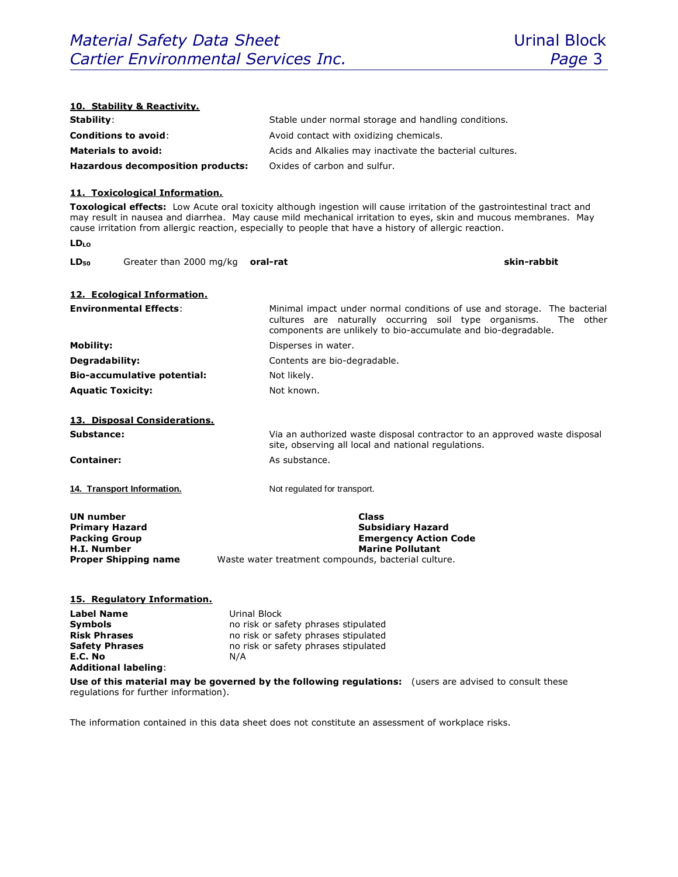| 10. Stability & Reactivity.                                                                                           |                                                                                                                                                                                                                            |  |  |
|-----------------------------------------------------------------------------------------------------------------------|----------------------------------------------------------------------------------------------------------------------------------------------------------------------------------------------------------------------------|--|--|
| Stability:                                                                                                            | Stable under normal storage and handling conditions.                                                                                                                                                                       |  |  |
| <b>Conditions to avoid:</b>                                                                                           | Avoid contact with oxidizing chemicals.                                                                                                                                                                                    |  |  |
| <b>Materials to avoid:</b>                                                                                            | Acids and Alkalies may inactivate the bacterial cultures.                                                                                                                                                                  |  |  |
| <b>Hazardous decomposition products:</b>                                                                              | Oxides of carbon and sulfur.                                                                                                                                                                                               |  |  |
| 11. Toxicological Information.                                                                                        | Toxological effects: Low Acute oral toxicity although ingestion will cause irritation of the gastrointestinal tract and                                                                                                    |  |  |
|                                                                                                                       | may result in nausea and diarrhea. May cause mild mechanical irritation to eyes, skin and mucous membranes. May<br>cause irritation from allergic reaction, especially to people that have a history of allergic reaction. |  |  |
| $LD_{LO}$                                                                                                             |                                                                                                                                                                                                                            |  |  |
| Greater than 2000 mg/kg<br>$LD_{50}$                                                                                  | skin-rabbit<br>oral-rat                                                                                                                                                                                                    |  |  |
| 12. Ecological Information.                                                                                           |                                                                                                                                                                                                                            |  |  |
| <b>Environmental Effects:</b>                                                                                         | Minimal impact under normal conditions of use and storage. The bacterial<br>cultures are naturally occurring soil type organisms.<br>The other<br>components are unlikely to bio-accumulate and bio-degradable.            |  |  |
| <b>Mobility:</b>                                                                                                      | Disperses in water.                                                                                                                                                                                                        |  |  |
| Degradability:                                                                                                        | Contents are bio-degradable.                                                                                                                                                                                               |  |  |
| <b>Bio-accumulative potential:</b>                                                                                    | Not likely.                                                                                                                                                                                                                |  |  |
| <b>Aquatic Toxicity:</b>                                                                                              | Not known.                                                                                                                                                                                                                 |  |  |
|                                                                                                                       |                                                                                                                                                                                                                            |  |  |
| 13. Disposal Considerations.<br>Substance:                                                                            | Via an authorized waste disposal contractor to an approved waste disposal                                                                                                                                                  |  |  |
|                                                                                                                       | site, observing all local and national regulations.                                                                                                                                                                        |  |  |
| <b>Container:</b>                                                                                                     | As substance.                                                                                                                                                                                                              |  |  |
|                                                                                                                       |                                                                                                                                                                                                                            |  |  |
| 14. Transport Information.                                                                                            | Not regulated for transport.                                                                                                                                                                                               |  |  |
| <b>UN number</b>                                                                                                      | <b>Class</b>                                                                                                                                                                                                               |  |  |
| <b>Primary Hazard</b><br><b>Packing Group</b>                                                                         | <b>Subsidiary Hazard</b><br><b>Emergency Action Code</b>                                                                                                                                                                   |  |  |
| <b>H.I. Number</b>                                                                                                    | <b>Marine Pollutant</b>                                                                                                                                                                                                    |  |  |
| <b>Proper Shipping name</b>                                                                                           | Waste water treatment compounds, bacterial culture.                                                                                                                                                                        |  |  |
|                                                                                                                       |                                                                                                                                                                                                                            |  |  |
| 15. Regulatory Information.                                                                                           |                                                                                                                                                                                                                            |  |  |
| <b>Label Name</b><br>Urinal Block                                                                                     |                                                                                                                                                                                                                            |  |  |
| <b>Symbols</b><br>no risk or safety phrases stipulated<br><b>Risk Phrases</b><br>no risk or safety phrases stipulated |                                                                                                                                                                                                                            |  |  |
| <b>Safety Phrases</b><br>no risk or safety phrases stipulated                                                         |                                                                                                                                                                                                                            |  |  |
| E.C. No<br>N/A                                                                                                        |                                                                                                                                                                                                                            |  |  |
| <b>Additional labeling:</b>                                                                                           |                                                                                                                                                                                                                            |  |  |
| regulations for further information).                                                                                 | Use of this material may be governed by the following regulations: (users are advised to consult these                                                                                                                     |  |  |

The information contained in this data sheet does not constitute an assessment of workplace risks.